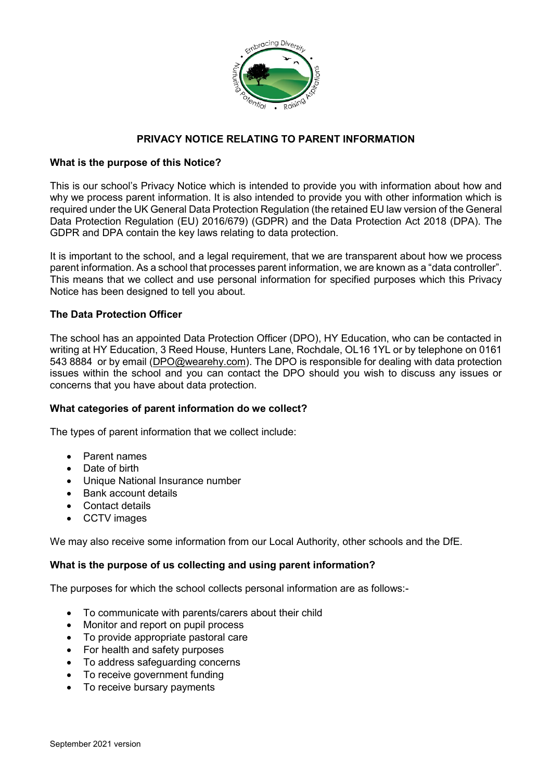

# **PRIVACY NOTICE RELATING TO PARENT INFORMATION**

# **What is the purpose of this Notice?**

This is our school's Privacy Notice which is intended to provide you with information about how and why we process parent information. It is also intended to provide you with other information which is required under the UK General Data Protection Regulation (the retained EU law version of the General Data Protection Regulation (EU) 2016/679) (GDPR) and the Data Protection Act 2018 (DPA). The GDPR and DPA contain the key laws relating to data protection.

It is important to the school, and a legal requirement, that we are transparent about how we process parent information. As a school that processes parent information, we are known as a "data controller". This means that we collect and use personal information for specified purposes which this Privacy Notice has been designed to tell you about.

## **The Data Protection Officer**

The school has an appointed Data Protection Officer (DPO), HY Education, who can be contacted in writing at HY Education, 3 Reed House, Hunters Lane, Rochdale, OL16 1YL or by telephone on 0161 543 8884 or by email [\(DPO@wearehy.com\)](mailto:DPO@wearehy.com). The DPO is responsible for dealing with data protection issues within the school and you can contact the DPO should you wish to discuss any issues or concerns that you have about data protection.

# **What categories of parent information do we collect?**

The types of parent information that we collect include:

- Parent names
- Date of birth
- Unique National Insurance number
- Bank account details
- Contact details
- CCTV images

We may also receive some information from our Local Authority, other schools and the DfE.

### **What is the purpose of us collecting and using parent information?**

The purposes for which the school collects personal information are as follows:-

- To communicate with parents/carers about their child
- Monitor and report on pupil process
- To provide appropriate pastoral care
- For health and safety purposes
- To address safeguarding concerns
- To receive government funding
- To receive bursary payments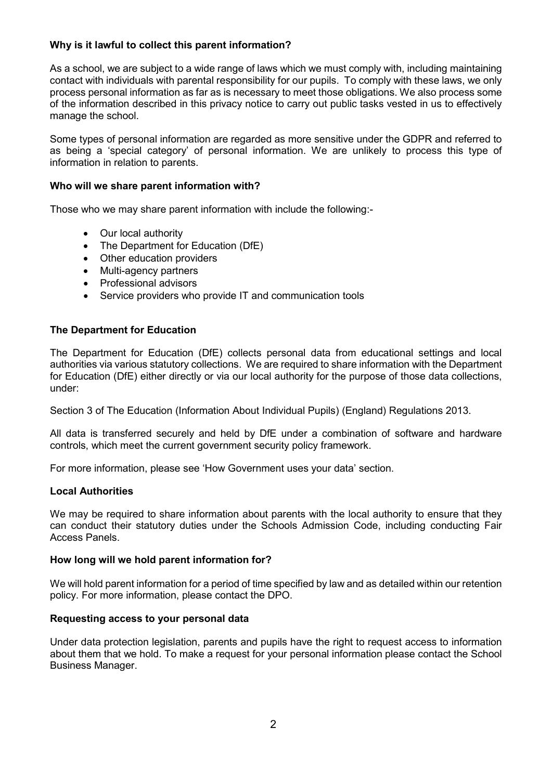# **Why is it lawful to collect this parent information?**

As a school, we are subject to a wide range of laws which we must comply with, including maintaining contact with individuals with parental responsibility for our pupils. To comply with these laws, we only process personal information as far as is necessary to meet those obligations. We also process some of the information described in this privacy notice to carry out public tasks vested in us to effectively manage the school.

Some types of personal information are regarded as more sensitive under the GDPR and referred to as being a 'special category' of personal information. We are unlikely to process this type of information in relation to parents.

# **Who will we share parent information with?**

Those who we may share parent information with include the following:-

- Our local authority
- The Department for Education (DfE)
- Other education providers
- Multi-agency partners
- Professional advisors
- Service providers who provide IT and communication tools

## **The Department for Education**

The Department for Education (DfE) collects personal data from educational settings and local authorities via various statutory collections. We are required to share information with the Department for Education (DfE) either directly or via our local authority for the purpose of those data collections, under:

Section 3 of The Education (Information About Individual Pupils) (England) Regulations 2013.

All data is transferred securely and held by DfE under a combination of software and hardware controls, which meet the current government security policy framework.

For more information, please see 'How Government uses your data' section.

### **Local Authorities**

We may be required to share information about parents with the local authority to ensure that they can conduct their statutory duties under the Schools Admission Code, including conducting Fair Access Panels.

### **How long will we hold parent information for?**

We will hold parent information for a period of time specified by law and as detailed within our retention policy. For more information, please contact the DPO.

### **Requesting access to your personal data**

Under data protection legislation, parents and pupils have the right to request access to information about them that we hold. To make a request for your personal information please contact the School Business Manager.